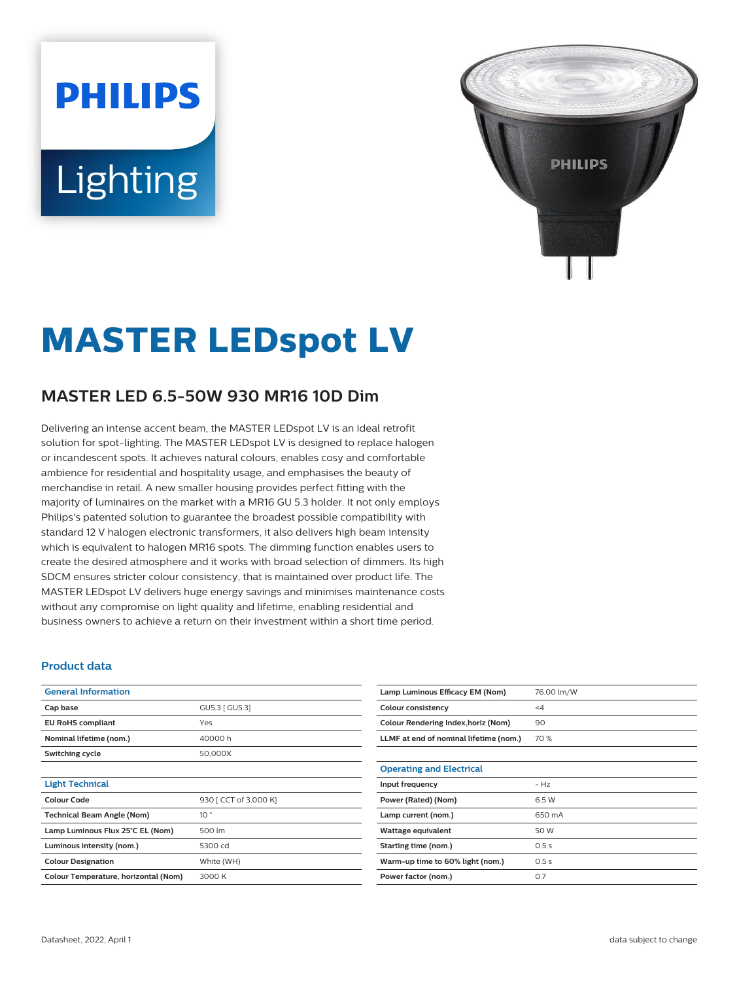# **PHILIPS** Lighting



# **MASTER LEDspot LV**

# **MASTER LED 6.5-50W 930 MR16 10D Dim**

Delivering an intense accent beam, the MASTER LEDspot LV is an ideal retrofit solution for spot-lighting. The MASTER LEDspot LV is designed to replace halogen or incandescent spots. It achieves natural colours, enables cosy and comfortable ambience for residential and hospitality usage, and emphasises the beauty of merchandise in retail. A new smaller housing provides perfect fitting with the majority of luminaires on the market with a MR16 GU 5.3 holder. It not only employs Philips's patented solution to guarantee the broadest possible compatibility with standard 12 V halogen electronic transformers, it also delivers high beam intensity which is equivalent to halogen MR16 spots. The dimming function enables users to create the desired atmosphere and it works with broad selection of dimmers. Its high SDCM ensures stricter colour consistency, that is maintained over product life. The MASTER LEDspot LV delivers huge energy savings and minimises maintenance costs without any compromise on light quality and lifetime, enabling residential and business owners to achieve a return on their investment within a short time period.

#### **Product data**

| <b>General Information</b>           |                       |
|--------------------------------------|-----------------------|
| Cap base                             | GU5.3   GU5.3]        |
| <b>EU RoHS compliant</b>             | Yes                   |
| Nominal lifetime (nom.)              | 40000h                |
| Switching cycle                      | 50,000X               |
|                                      |                       |
| <b>Light Technical</b>               |                       |
| Colour Code                          | 930 [ CCT of 3,000 K] |
| <b>Technical Beam Angle (Nom)</b>    | 10 <sup>°</sup>       |
| Lamp Luminous Flux 25°C EL (Nom)     | 500 lm                |
| Luminous intensity (nom.)            | 5300 cd               |
| <b>Colour Designation</b>            | White (WH)            |
| Colour Temperature, horizontal (Nom) | 3000 K                |

| Lamp Luminous Efficacy EM (Nom)        | 76.00 lm/W |
|----------------------------------------|------------|
| Colour consistency                     | $\leq 4$   |
| Colour Rendering Index, horiz (Nom)    | 90         |
| LLMF at end of nominal lifetime (nom.) | 70 %       |
|                                        |            |
| <b>Operating and Electrical</b>        |            |
| Input frequency                        | $- H7$     |
| Power (Rated) (Nom)                    | 6.5 W      |
| Lamp current (nom.)                    | 650 mA     |
| Wattage equivalent                     | 50 W       |
| Starting time (nom.)                   | 0.5s       |
| Warm-up time to 60% light (nom.)       | 0.5s       |
| Power factor (nom.)                    | 0.7        |
|                                        |            |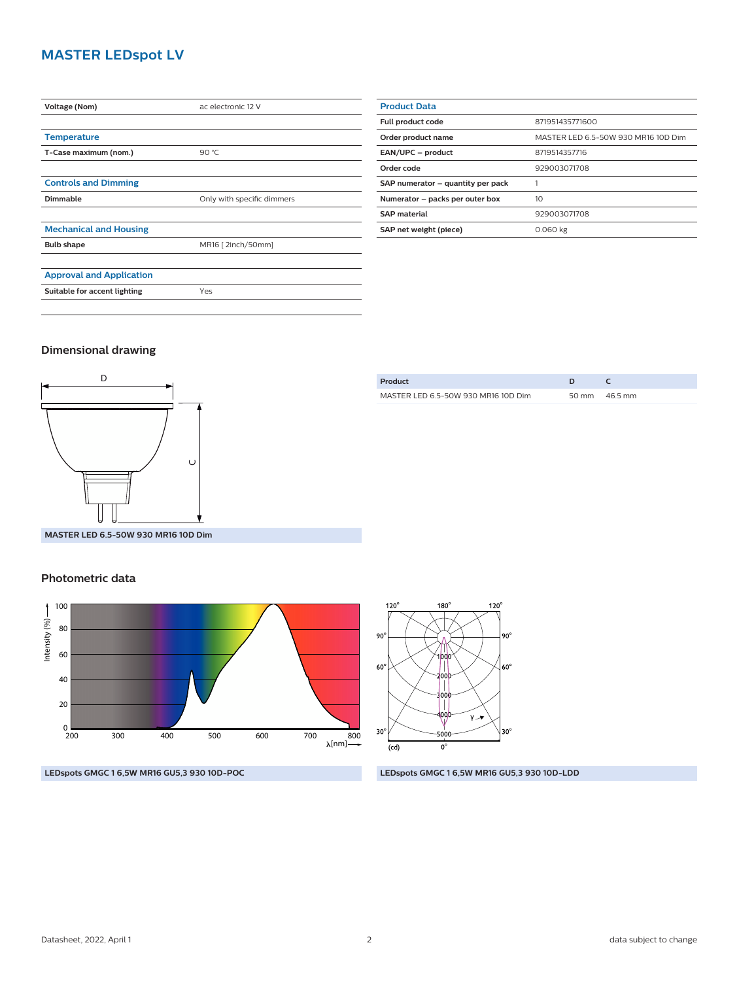## **MASTER LEDspot LV**

| Voltage (Nom)                   | ac electronic 12 V         |  |
|---------------------------------|----------------------------|--|
|                                 |                            |  |
| <b>Temperature</b>              |                            |  |
| T-Case maximum (nom.)           | 90 °C                      |  |
|                                 |                            |  |
| <b>Controls and Dimming</b>     |                            |  |
| Dimmable                        | Only with specific dimmers |  |
|                                 |                            |  |
| <b>Mechanical and Housing</b>   |                            |  |
| <b>Bulb shape</b>               | MR16 [2inch/50mm]          |  |
|                                 |                            |  |
| <b>Approval and Application</b> |                            |  |
| Suitable for accent lighting    | Yes                        |  |
|                                 |                            |  |

| <b>Product Data</b>               |                                     |  |
|-----------------------------------|-------------------------------------|--|
| <b>Full product code</b>          | 871951435771600                     |  |
| Order product name                | MASTER LED 6.5-50W 930 MR16 10D Dim |  |
| EAN/UPC - product                 | 8719514357716                       |  |
| Order code                        | 929003071708                        |  |
| SAP numerator - quantity per pack |                                     |  |
| Numerator - packs per outer box   | 10                                  |  |
| <b>SAP material</b>               | 929003071708                        |  |
| SAP net weight (piece)            | 0.060 kg                            |  |

#### **Dimensional drawing**



| Product                             |                 |
|-------------------------------------|-----------------|
| MASTER LED 6.5-50W 930 MR16 10D Dim | 50 mm $46.5$ mm |
|                                     |                 |

**MASTER LED 6.5-50W 930 MR16 10D Dim**

#### **Photometric data**





**LEDspots GMGC 1 6,5W MR16 GU5,3 930 10D-POC LEDspots GMGC 1 6,5W MR16 GU5,3 930 10D-LDD**